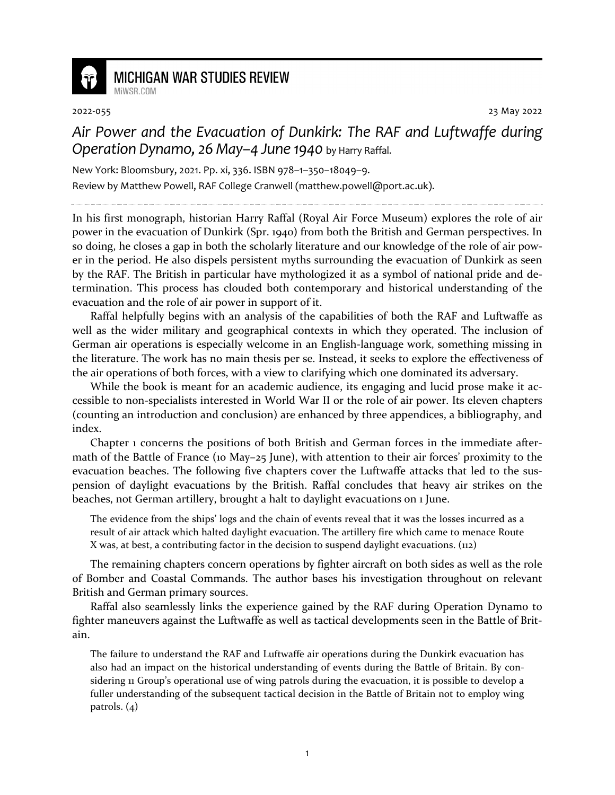

## **MICHIGAN WAR STUDIES REVIEW**

MiWSR COM

2022-055 23 May 2022

## *Air Power and the Evacuation of Dunkirk: The RAF and Luftwaffe during Operation Dynamo, 26 May–4 June 1940* by Harry Raffal.

New York: Bloomsbury, 2021. Pp. xi, 336. ISBN 978–1–350–18049–9.

Review by Matthew Powell, RAF College Cranwell (matthew.powell@port.ac.uk).

In his first monograph, historian Harry Raffal (Royal Air Force Museum) explores the role of air power in the evacuation of Dunkirk (Spr. 1940) from both the British and German perspectives. In so doing, he closes a gap in both the scholarly literature and our knowledge of the role of air power in the period. He also dispels persistent myths surrounding the evacuation of Dunkirk as seen by the RAF. The British in particular have mythologized it as a symbol of national pride and determination. This process has clouded both contemporary and historical understanding of the evacuation and the role of air power in support of it.

Raffal helpfully begins with an analysis of the capabilities of both the RAF and Luftwaffe as well as the wider military and geographical contexts in which they operated. The inclusion of German air operations is especially welcome in an English-language work, something missing in the literature. The work has no main thesis per se. Instead, it seeks to explore the effectiveness of the air operations of both forces, with a view to clarifying which one dominated its adversary.

While the book is meant for an academic audience, its engaging and lucid prose make it accessible to non-specialists interested in World War II or the role of air power. Its eleven chapters (counting an introduction and conclusion) are enhanced by three appendices, a bibliography, and index.

Chapter 1 concerns the positions of both British and German forces in the immediate aftermath of the Battle of France (10 May–25 June), with attention to their air forces' proximity to the evacuation beaches. The following five chapters cover the Luftwaffe attacks that led to the suspension of daylight evacuations by the British. Raffal concludes that heavy air strikes on the beaches, not German artillery, brought a halt to daylight evacuations on 1 June.

The evidence from the ships' logs and the chain of events reveal that it was the losses incurred as a result of air attack which halted daylight evacuation. The artillery fire which came to menace Route X was, at best, a contributing factor in the decision to suspend daylight evacuations. (112)

The remaining chapters concern operations by fighter aircraft on both sides as well as the role of Bomber and Coastal Commands. The author bases his investigation throughout on relevant British and German primary sources.

Raffal also seamlessly links the experience gained by the RAF during Operation Dynamo to fighter maneuvers against the Luftwaffe as well as tactical developments seen in the Battle of Britain.

The failure to understand the RAF and Luftwaffe air operations during the Dunkirk evacuation has also had an impact on the historical understanding of events during the Battle of Britain. By considering 11 Group's operational use of wing patrols during the evacuation, it is possible to develop a fuller understanding of the subsequent tactical decision in the Battle of Britain not to employ wing patrols. (4)